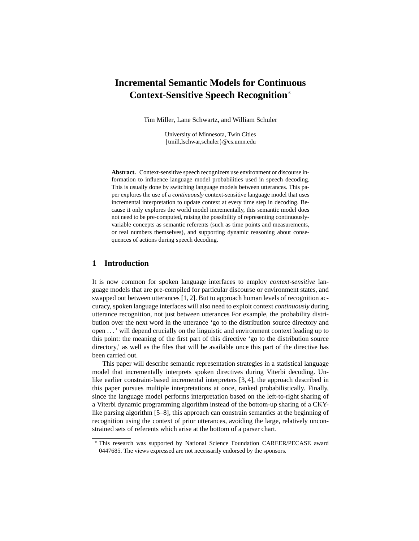# **Incremental Semantic Models for Continuous Context-Sensitive Speech Recognition**<sup>∗</sup>

Tim Miller, Lane Schwartz, and William Schuler

University of Minnesota, Twin Cities {tmill,lschwar,schuler}@cs.umn.edu

**Abstract.** Context-sensitive speech recognizers use environment or discourse information to influence language model probabilities used in speech decoding. This is usually done by switching language models between utterances. This paper explores the use of a *continuously* context-sensitive language model that uses incremental interpretation to update context at every time step in decoding. Because it only explores the world model incrementally, this semantic model does not need to be pre-computed, raising the possibility of representing continuouslyvariable concepts as semantic referents (such as time points and measurements, or real numbers themselves), and supporting dynamic reasoning about consequences of actions during speech decoding.

## **1 Introduction**

It is now common for spoken language interfaces to employ *context-sensitive* language models that are pre-compiled for particular discourse or environment states, and swapped out between utterances [1, 2]. But to approach human levels of recognition accuracy, spoken language interfaces will also need to exploit context *continuously* during utterance recognition, not just between utterances For example, the probability distribution over the next word in the utterance 'go to the distribution source directory and open . . . ' will depend crucially on the linguistic and environment context leading up to this point: the meaning of the first part of this directive 'go to the distribution source directory,' as well as the files that will be available once this part of the directive has been carried out.

This paper will describe semantic representation strategies in a statistical language model that incrementally interprets spoken directives during Viterbi decoding. Unlike earlier constraint-based incremental interpreters [3, 4], the approach described in this paper pursues multiple interpretations at once, ranked probabilistically. Finally, since the language model performs interpretation based on the left-to-right sharing of a Viterbi dynamic programming algorithm instead of the bottom-up sharing of a CKYlike parsing algorithm [5–8], this approach can constrain semantics at the beginning of recognition using the context of prior utterances, avoiding the large, relatively unconstrained sets of referents which arise at the bottom of a parser chart.

<sup>⋆</sup> This research was supported by National Science Foundation CAREER/PECASE award 0447685. The views expressed are not necessarily endorsed by the sponsors.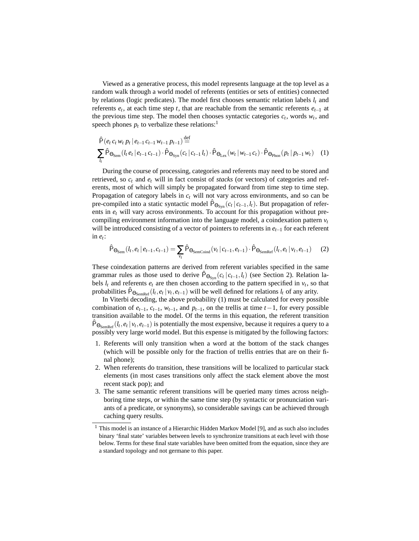Viewed as a generative process, this model represents language at the top level as a random walk through a world model of referents (entities or sets of entities) connected by relations (logic predicates). The model first chooses semantic relation labels *l<sup>t</sup>* and referents *e<sup>t</sup>* , at each time step *t*, that are reachable from the semantic referents *et*−<sup>1</sup> at the previous time step. The model then chooses syntactic categories  $c_t$ , words  $w_t$ , and speech phones  $p_t$  to verbalize these relations:<sup>1</sup>

$$
\hat{P}(e_t c_t w_t p_t | e_{t-1} c_{t-1} w_{t-1} p_{t-1}) \stackrel{\text{def}}{=} \sum_{l_t} \hat{P}_{\Theta_{\text{Sem}}}(l_t e_t | e_{t-1} c_{t-1}) \cdot \hat{P}_{\Theta_{\text{Syn}}}(c_t | c_{t-1} l_t) \cdot \hat{P}_{\Theta_{\text{Lex}}}(w_t | w_{t-1} c_t) \cdot \hat{P}_{\Theta_{\text{Phon}}}(p_t | p_{t-1} w_t) \quad (1)
$$

During the course of processing, categories and referents may need to be stored and retrieved, so *c<sup>t</sup>* and *e<sup>t</sup>* will in fact consist of *stacks* (or vectors) of categories and referents, most of which will simply be propagated forward from time step to time step. Propagation of category labels in *c<sup>t</sup>* will not vary across environments, and so can be pre-compiled into a static syntactic model  $\hat{P}_{\Theta_{\text{Syn}}} (c_t | c_{t-1}, l_t)$ . But propagation of referents in *e<sup>t</sup>* will vary across environments. To account for this propagation without precompiling environment information into the language model, a coindexation pattern  $v_t$ will be introduced consisting of a vector of pointers to referents in *et*−<sup>1</sup> for each referent in *e<sup>t</sup>* :

$$
\hat{P}_{\Theta_{\text{Sem}}}(l_t, e_t | e_{t-1}, c_{t-1}) = \sum_{v_t} \hat{P}_{\Theta_{\text{SemCoind}}}(v_t | c_{t-1}, e_{t-1}) \cdot \hat{P}_{\Theta_{\text{SemRef}}}(l_t, e_t | v_t, e_{t-1}) \tag{2}
$$

These coindexation patterns are derived from referent variables specified in the same grammar rules as those used to derive  $\hat{P}_{\Theta_{\text{Syn}}} (c_t | c_{t-1}, l_t)$  (see Section 2). Relation labels  $l_t$  and referents  $e_t$  are then chosen according to the pattern specified in  $v_t$ , so that probabilities  $\hat{P}_{\Theta_{\text{semRef}}}(l_t, e_t | v_t, e_{t-1})$  will be well defined for relations  $l_t$  of any arity.

In Viterbi decoding, the above probability (1) must be calculated for every possible combination of  $e_{t-1}$ ,  $c_{t-1}$ ,  $w_{t-1}$ , and  $p_{t-1}$ , on the trellis at time  $t-1$ , for every possible transition available to the model. Of the terms in this equation, the referent transition  $\hat{P}_{\Theta_{\text{SemRef}}}(l_t, e_t | v_t, e_{t-1})$  is potentially the most expensive, because it requires a query to a possibly very large world model. But this expense is mitigated by the following factors:

- 1. Referents will only transition when a word at the bottom of the stack changes (which will be possible only for the fraction of trellis entries that are on their final phone);
- 2. When referents do transition, these transitions will be localized to particular stack elements (in most cases transitions only affect the stack element above the most recent stack pop); and
- 3. The same semantic referent transitions will be queried many times across neighboring time steps, or within the same time step (by syntactic or pronunciation variants of a predicate, or synonyms), so considerable savings can be achieved through caching query results.

<sup>&</sup>lt;sup>1</sup> This model is an instance of a Hierarchic Hidden Markov Model [9], and as such also includes binary 'final state' variables between levels to synchronize transitions at each level with those below. Terms for these final state variables have been omitted from the equation, since they are a standard topology and not germane to this paper.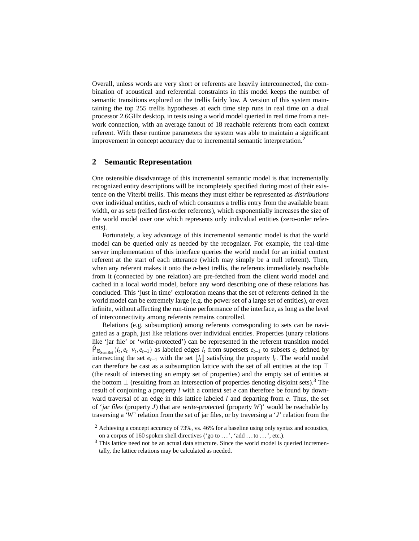Overall, unless words are very short or referents are heavily interconnected, the combination of acoustical and referential constraints in this model keeps the number of semantic transitions explored on the trellis fairly low. A version of this system maintaining the top 255 trellis hypotheses at each time step runs in real time on a dual processor 2.6GHz desktop, in tests using a world model queried in real time from a network connection, with an average fanout of 18 reachable referents from each context referent. With these runtime parameters the system was able to maintain a significant improvement in concept accuracy due to incremental semantic interpretation.<sup>2</sup>

#### **2 Semantic Representation**

One ostensible disadvantage of this incremental semantic model is that incrementally recognized entity descriptions will be incompletely specified during most of their existence on the Viterbi trellis. This means they must either be represented as *distributions* over individual entities, each of which consumes a trellis entry from the available beam width, or as *sets* (reified first-order referents), which exponentially increases the size of the world model over one which represents only individual entities (zero-order referents).

Fortunately, a key advantage of this incremental semantic model is that the world model can be queried only as needed by the recognizer. For example, the real-time server implementation of this interface queries the world model for an initial context referent at the start of each utterance (which may simply be a null referent). Then, when any referent makes it onto the *n*-best trellis, the referents immediately reachable from it (connected by one relation) are pre-fetched from the client world model and cached in a local world model, before any word describing one of these relations has concluded. This 'just in time' exploration means that the set of referents defined in the world model can be extremely large (e.g. the power set of a large set of entities), or even infinite, without affecting the run-time performance of the interface, as long as the level of interconnectivity among referents remains controlled.

Relations (e.g. subsumption) among referents corresponding to sets can be navigated as a graph, just like relations over individual entities. Properties (unary relations like 'jar file' or 'write-protected') can be represented in the referent transition model  $\hat{P}_{\Theta_{\text{SemRef}}}(l_t, e_t | v_t, e_{t-1})$  as labeled edges  $l_t$  from supersets  $e_{t-1}$  to subsets  $e_t$  defined by intersecting the set  $e_{t-1}$  with the set  $\llbracket l_t \rrbracket$  satisfying the property  $l_t$ . The world model can therefore be cast as a subsumption lattice with the set of all entities at the top  $\top$ (the result of intersecting an empty set of properties) and the empty set of entities at the bottom  $\perp$  (resulting from an intersection of properties denoting disjoint sets).<sup>3</sup> The result of conjoining a property *l* with a context set *e* can therefore be found by downward traversal of an edge in this lattice labeled *l* and departing from *e*. Thus, the set of 'jar files (property *J*) that are write-protected (property *W*)' would be reachable by traversing a '*W*' relation from the set of jar files, or by traversing a '*J*' relation from the

<sup>2</sup> Achieving a concept accuracy of 73%, vs. 46% for a baseline using only syntax and acoustics, on a corpus of 160 spoken shell directives ('go to ...', 'add ...to ...', etc.).

 $3$  This lattice need not be an actual data structure. Since the world model is queried incrementally, the lattice relations may be calculated as needed.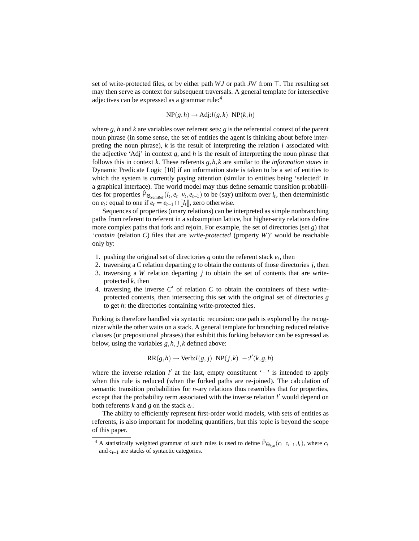set of write-protected files, or by either path *WJ* or path *JW* from ⊤. The resulting set may then serve as context for subsequent traversals. A general template for intersective adjectives can be expressed as a grammar rule:<sup>4</sup>

$$
NP(g, h) \to Adj!l(g, k) \ NP(k, h)
$$

where *g*, *h* and *k* are variables over referent sets: *g* is the referential context of the parent noun phrase (in some sense, the set of entities the agent is thinking about before interpreting the noun phrase), *k* is the result of interpreting the relation *l* associated with the adjective 'Adj' in context *g*, and *h* is the result of interpreting the noun phrase that follows this in context *k*. These referents *g*,*h*,*k* are similar to the *information states* in Dynamic Predicate Logic [10] if an information state is taken to be a set of entities to which the system is currently paying attention (similar to entities being 'selected' in a graphical interface). The world model may thus define semantic transition probabilithese for properties  $\hat{P}_{\Theta_{\text{SemRef}}}(l_t, e_t | v_t, e_{t-1})$  to be (say) uniform over  $l_t$ , then deterministic on  $e_t$ : equal to one if  $e_t = e_{t-1} \cap [l_t]$ , zero otherwise.

Sequences of properties (unary relations) can be interpreted as simple nonbranching paths from referent to referent in a subsumption lattice, but higher-arity relations define more complex paths that fork and rejoin. For example, the set of directories (set *g*) that 'contain (relation *C*) files that are write-protected (property *W*)' would be reachable only by:

- 1. pushing the original set of directories  $g$  onto the referent stack  $e_t$ , then
- 2. traversing a *C* relation departing *g* to obtain the contents of those directories *j*, then
- 3. traversing a *W* relation departing *j* to obtain the set of contents that are writeprotected *k*, then
- 4. traversing the inverse  $C'$  of relation  $C$  to obtain the containers of these writeprotected contents, then intersecting this set with the original set of directories *g* to get *h*: the directories containing write-protected files.

Forking is therefore handled via syntactic recursion: one path is explored by the recognizer while the other waits on a stack. A general template for branching reduced relative clauses (or prepositional phrases) that exhibit this forking behavior can be expressed as below, using the variables *g*,*h*, *j*,*k* defined above:

$$
RR(g,h) \rightarrow Verb:l(g,j) NP(j,k) - : l'(k,g,h)
$$

where the inverse relation *l'* at the last, empty constituent '–' is intended to apply when this rule is reduced (when the forked paths are re-joined). The calculation of semantic transition probabilities for *n*-ary relations thus resembles that for properties, except that the probability term associated with the inverse relation *l'* would depend on both referents *k* and *g* on the stack *e<sup>t</sup>* .

The ability to efficiently represent first-order world models, with sets of entities as referents, is also important for modeling quantifiers, but this topic is beyond the scope of this paper.

<sup>&</sup>lt;sup>4</sup> A statistically weighted grammar of such rules is used to define  $\hat{P}_{\Theta_{\text{Sym}}}(c_t | c_{t-1}, l_t)$ , where  $c_t$ and *ct*−<sup>1</sup> are stacks of syntactic categories.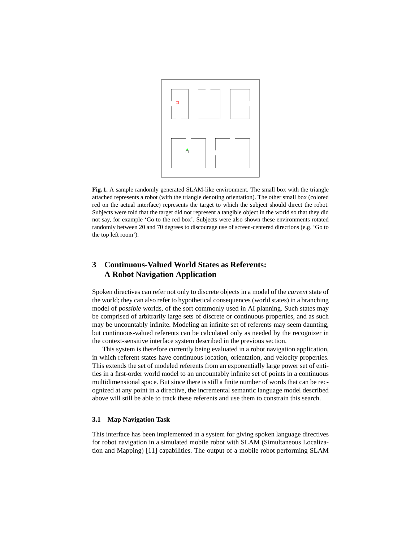

**Fig. 1.** A sample randomly generated SLAM-like environment. The small box with the triangle attached represents a robot (with the triangle denoting orientation). The other small box (colored red on the actual interface) represents the target to which the subject should direct the robot. Subjects were told that the target did not represent a tangible object in the world so that they did not say, for example 'Go to the red box'. Subjects were also shown these environments rotated randomly between 20 and 70 degrees to discourage use of screen-centered directions (e.g. 'Go to the top left room').

## **3 Continuous-Valued World States as Referents: A Robot Navigation Application**

Spoken directives can refer not only to discrete objects in a model of the *current* state of the world; they can also refer to hypothetical consequences (world states) in a branching model of *possible* worlds, of the sort commonly used in AI planning. Such states may be comprised of arbitrarily large sets of discrete or continuous properties, and as such may be uncountably infinite. Modeling an infinite set of referents may seem daunting, but continuous-valued referents can be calculated only as needed by the recognizer in the context-sensitive interface system described in the previous section.

This system is therefore currently being evaluated in a robot navigation application, in which referent states have continuous location, orientation, and velocity properties. This extends the set of modeled referents from an exponentially large power set of entities in a first-order world model to an uncountably infinite set of points in a continuous multidimensional space. But since there is still a finite number of words that can be recognized at any point in a directive, the incremental semantic language model described above will still be able to track these referents and use them to constrain this search.

#### **3.1 Map Navigation Task**

This interface has been implemented in a system for giving spoken language directives for robot navigation in a simulated mobile robot with SLAM (Simultaneous Localization and Mapping) [11] capabilities. The output of a mobile robot performing SLAM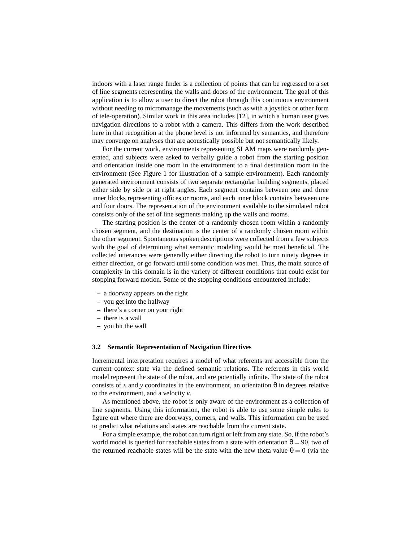indoors with a laser range finder is a collection of points that can be regressed to a set of line segments representing the walls and doors of the environment. The goal of this application is to allow a user to direct the robot through this continuous environment without needing to micromanage the movements (such as with a joystick or other form of tele-operation). Similar work in this area includes [12], in which a human user gives navigation directions to a robot with a camera. This differs from the work described here in that recognition at the phone level is not informed by semantics, and therefore may converge on analyses that are acoustically possible but not semantically likely.

For the current work, environments representing SLAM maps were randomly generated, and subjects were asked to verbally guide a robot from the starting position and orientation inside one room in the environment to a final destination room in the environment (See Figure 1 for illustration of a sample environment). Each randomly generated environment consists of two separate rectangular building segments, placed either side by side or at right angles. Each segment contains between one and three inner blocks representing offices or rooms, and each inner block contains between one and four doors. The representation of the environment available to the simulated robot consists only of the set of line segments making up the walls and rooms.

The starting position is the center of a randomly chosen room within a randomly chosen segment, and the destination is the center of a randomly chosen room within the other segment. Spontaneous spoken descriptions were collected from a few subjects with the goal of determining what semantic modeling would be most beneficial. The collected utterances were generally either directing the robot to turn ninety degrees in either direction, or go forward until some condition was met. Thus, the main source of complexity in this domain is in the variety of different conditions that could exist for stopping forward motion. Some of the stopping conditions encountered include:

- **–** a doorway appears on the right
- **–** you get into the hallway
- **–** there's a corner on your right
- **–** there is a wall
- **–** you hit the wall

#### **3.2 Semantic Representation of Navigation Directives**

Incremental interpretation requires a model of what referents are accessible from the current context state via the defined semantic relations. The referents in this world model represent the state of the robot, and are potentially infinite. The state of the robot consists of x and y coordinates in the environment, an orientation  $\theta$  in degrees relative to the environment, and a velocity *v*.

As mentioned above, the robot is only aware of the environment as a collection of line segments. Using this information, the robot is able to use some simple rules to figure out where there are doorways, corners, and walls. This information can be used to predict what relations and states are reachable from the current state.

For a simple example, the robot can turn right or left from any state. So, if the robot's world model is queried for reachable states from a state with orientation  $\theta = 90$ , two of the returned reachable states will be the state with the new theta value  $\theta = 0$  (via the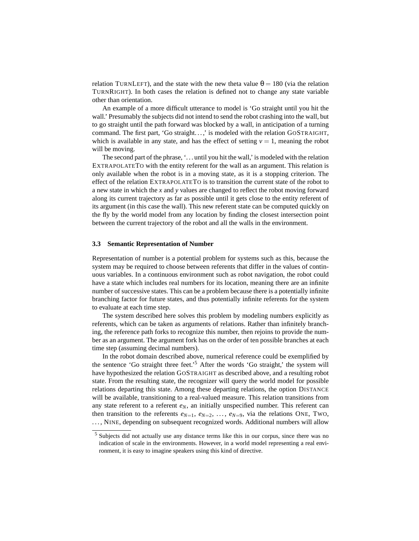relation TURNLEFT), and the state with the new theta value  $\theta = 180$  (via the relation TURNRIGHT). In both cases the relation is defined not to change any state variable other than orientation.

An example of a more difficult utterance to model is 'Go straight until you hit the wall.' Presumably the subjects did not intend to send the robot crashing into the wall, but to go straight until the path forward was blocked by a wall, in anticipation of a turning command. The first part, 'Go straight. . . ,' is modeled with the relation GOSTRAIGHT, which is available in any state, and has the effect of setting  $v = 1$ , meaning the robot will be moving.

The second part of the phrase, '. . . until you hit the wall,' is modeled with the relation EXTRAPOLATETO with the entity referent for the wall as an argument. This relation is only available when the robot is in a moving state, as it is a stopping criterion. The effect of the relation EXTRAPOLATETO is to transition the current state of the robot to a new state in which the *x* and *y* values are changed to reflect the robot moving forward along its current trajectory as far as possible until it gets close to the entity referent of its argument (in this case the wall). This new referent state can be computed quickly on the fly by the world model from any location by finding the closest intersection point between the current trajectory of the robot and all the walls in the environment.

#### **3.3 Semantic Representation of Number**

Representation of number is a potential problem for systems such as this, because the system may be required to choose between referents that differ in the values of continuous variables. In a continuous environment such as robot navigation, the robot could have a state which includes real numbers for its location, meaning there are an infinite number of successive states. This can be a problem because there is a potentially infinite branching factor for future states, and thus potentially infinite referents for the system to evaluate at each time step.

The system described here solves this problem by modeling numbers explicitly as referents, which can be taken as arguments of relations. Rather than infinitely branching, the reference path forks to recognize this number, then rejoins to provide the number as an argument. The argument fork has on the order of ten possible branches at each time step (assuming decimal numbers).

In the robot domain described above, numerical reference could be exemplified by the sentence 'Go straight three feet.'<sup>5</sup> After the words 'Go straight,' the system will have hypothesized the relation GOSTRAIGHT as described above, and a resulting robot state. From the resulting state, the recognizer will query the world model for possible relations departing this state. Among these departing relations, the option DISTANCE will be available, transitioning to a real-valued measure. This relation transitions from any state referent to a referent  $e_N$ , an initially unspecified number. This referent can then transition to the referents  $e_{N=1}, e_{N=2}, \ldots, e_{N=9}$ , via the relations ONE, Two, ..., NINE, depending on subsequent recognized words. Additional numbers will allow

<sup>5</sup> Subjects did not actually use any distance terms like this in our corpus, since there was no indication of scale in the environments. However, in a world model representing a real environment, it is easy to imagine speakers using this kind of directive.